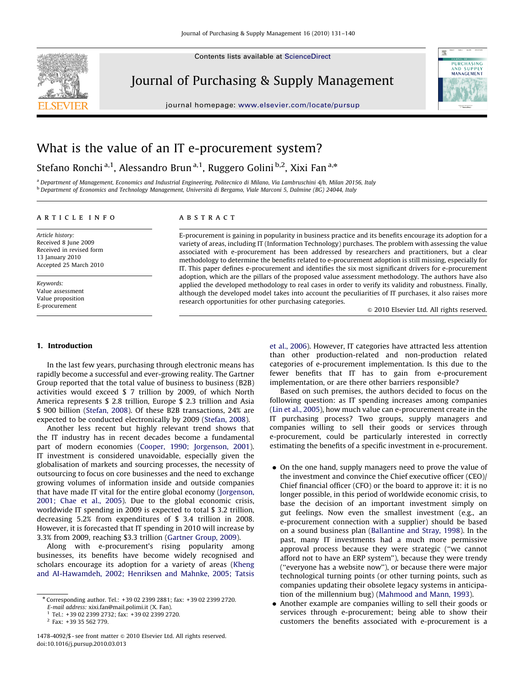

Contents lists available at ScienceDirect

## Journal of Purchasing & Supply Management

journal homepage: <www.elsevier.com/locate/pursup>



## What is the value of an IT e-procurement system?

Stefano Ronchi<sup>a,1</sup>, Alessandro Brun<sup>a,1</sup>, Ruggero Golini<sup>b,2</sup>, Xixi Fan<sup>a,\*</sup>

<sup>a</sup> Department of Management, Economics and Industrial Engineering, Politecnico di Milano, Via Lambruschini 4/b, Milan 20156, Italy <sup>b</sup> Department of Economics and Technology Management, Università di Bergamo, Viale Marconi 5, Dalmine (BG) 24044, Italy

#### article info

Article history: Received 8 June 2009 Received in revised form 13 January 2010 Accepted 25 March 2010

Keywords: Value assessment Value proposition E-procurement

### ABSTRACT

E-procurement is gaining in popularity in business practice and its benefits encourage its adoption for a variety of areas, including IT (Information Technology) purchases. The problem with assessing the value associated with e-procurement has been addressed by researchers and practitioners, but a clear methodology to determine the benefits related to e-procurement adoption is still missing, especially for IT. This paper defines e-procurement and identifies the six most significant drivers for e-procurement adoption, which are the pillars of the proposed value assessment methodology. The authors have also applied the developed methodology to real cases in order to verify its validity and robustness. Finally, although the developed model takes into account the peculiarities of IT purchases, it also raises more research opportunities for other purchasing categories.

 $\odot$  2010 Elsevier Ltd. All rights reserved.

#### 1. Introduction

In the last few years, purchasing through electronic means has rapidly become a successful and ever-growing reality. The Gartner Group reported that the total value of business to business (B2B) activities would exceed \$ 7 trillion by 2009, of which North America represents \$ 2.8 trillion, Europe \$ 2.3 trillion and Asia \$ 900 billion [\(Stefan, 2008\)](#page--1-0). Of these B2B transactions, 24% are expected to be conducted electronically by 2009 [\(Stefan, 2008\)](#page--1-0).

Another less recent but highly relevant trend shows that the IT industry has in recent decades become a fundamental part of modern economies ([Cooper, 1990; Jorgenson, 2001\)](#page--1-0). IT investment is considered unavoidable, especially given the globalisation of markets and sourcing processes, the necessity of outsourcing to focus on core businesses and the need to exchange growing volumes of information inside and outside companies that have made IT vital for the entire global economy ([Jorgenson,](#page--1-0) [2001; Chae et al., 2005\)](#page--1-0). Due to the global economic crisis, worldwide IT spending in 2009 is expected to total \$ 3.2 trillion, decreasing 5.2% from expenditures of \$ 3.4 trillion in 2008. However, it is forecasted that IT spending in 2010 will increase by 3.3% from 2009, reaching \$3.3 trillion [\(Gartner Group, 2009](#page--1-0)).

Along with e-procurement's rising popularity among businesses, its benefits have become widely recognised and scholars encourage its adoption for a variety of areas [\(Kheng](#page--1-0) [and AI-Hawamdeh, 2002; Henriksen and Mahnke, 2005; Tatsis](#page--1-0) [et al., 2006](#page--1-0)). However, IT categories have attracted less attention than other production-related and non-production related categories of e-procurement implementation. Is this due to the fewer benefits that IT has to gain from e-procurement implementation, or are there other barriers responsible?

Based on such premises, the authors decided to focus on the following question: as IT spending increases among companies ([Lin et al., 2005](#page--1-0)), how much value can e-procurement create in the IT purchasing process? Two groups, supply managers and companies willing to sell their goods or services through e-procurement, could be particularly interested in correctly estimating the benefits of a specific investment in e-procurement.

- On the one hand, supply managers need to prove the value of the investment and convince the Chief executive officer (CEO)/ Chief financial officer (CFO) or the board to approve it: it is no longer possible, in this period of worldwide economic crisis, to base the decision of an important investment simply on gut feelings. Now even the smallest investment (e.g., an e-procurement connection with a supplier) should be based on a sound business plan ([Ballantine and Stray, 1998](#page--1-0)). In the past, many IT investments had a much more permissive approval process because they were strategic (''we cannot afford not to have an ERP system''), because they were trendy (''everyone has a website now''), or because there were major technological turning points (or other turning points, such as companies updating their obsolete legacy systems in anticipation of the millennium bug) [\(Mahmood and Mann, 1993](#page--1-0)).
- Another example are companies willing to sell their goods or services through e-procurement; being able to show their customers the benefits associated with e-procurement is a

<sup>n</sup> Corresponding author. Tel.: +39 02 2399 2881; fax: +39 02 2399 2720. E-mail address: [xixi.fan@mail.polimi.it \(X. Fan\)](mailto:xixi.fan@mail.polimi.it).

<sup>1</sup> Tel.: +39 02 2399 2732; fax: +39 02 2399 2720.

<sup>2</sup> Fax: +39 35 562 779.

<sup>1478-4092/\$ -</sup> see front matter @ 2010 Elsevier Ltd. All rights reserved. doi:[10.1016/j.pursup.2010.03.013](dx.doi.org/10.1016/j.pursup.2010.03.013)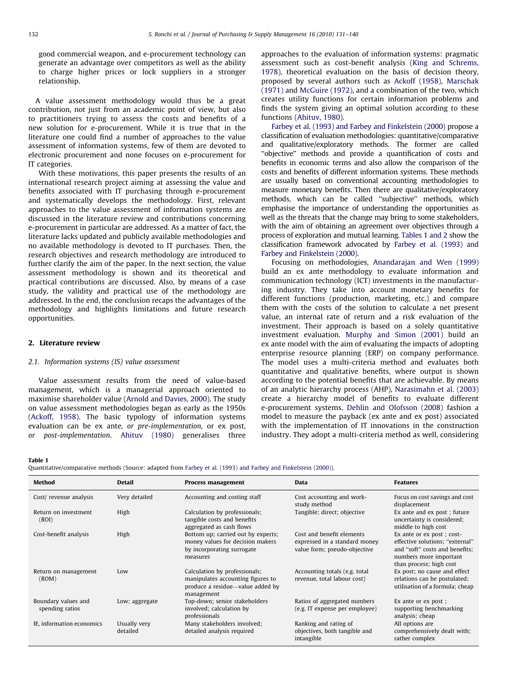good commercial weapon, and e-procurement technology can generate an advantage over competitors as well as the ability to charge higher prices or lock suppliers in a stronger relationship.

A value assessment methodology would thus be a great contribution, not just from an academic point of view, but also to practitioners trying to assess the costs and benefits of a new solution for e-procurement. While it is true that in the literature one could find a number of approaches to the value assessment of information systems, few of them are devoted to electronic procurement and none focuses on e-procurement for IT categories.

With these motivations, this paper presents the results of an international research project aiming at assessing the value and benefits associated with IT purchasing through e-procurement and systematically develops the methodology. First, relevant approaches to the value assessment of information systems are discussed in the literature review and contributions concerning e-procurement in particular are addressed. As a matter of fact, the literature lacks updated and publicly available methodologies and no available methodology is devoted to IT purchases. Then, the research objectives and research methodology are introduced to further clarify the aim of the paper. In the next section, the value assessment methodology is shown and its theoretical and practical contributions are discussed. Also, by means of a case study, the validity and practical use of the methodology are addressed. In the end, the conclusion recaps the advantages of the methodology and highlights limitations and future research opportunities.

#### 2. Literature review

#### 2.1. Information systems (IS) value assessment

Value assessment results from the need of value-based management, which is a managerial approach oriented to maximise shareholder value ([Arnold and Davies, 2000\)](#page--1-0). The study on value assessment methodologies began as early as the 1950s ([Ackoff, 1958\)](#page--1-0). The basic typology of information systems evaluation can be ex ante, or pre-implementation, or ex post, or post-implementation. [Ahituv \(1980\)](#page--1-0) generalises three approaches to the evaluation of information systems: pragmatic assessment such as cost-benefit analysis [\(King and Schrems,](#page--1-0) [1978\)](#page--1-0), theoretical evaluation on the basis of decision theory, proposed by several authors such as [Ackoff \(1958\)](#page--1-0), [Marschak](#page--1-0) [\(1971\)](#page--1-0) and [McGuire \(1972\),](#page--1-0) and a combination of the two, which creates utility functions for certain information problems and finds the system giving an optimal solution according to these functions [\(Ahituv, 1980\)](#page--1-0).

[Farbey et al. \(1993\) and Farbey and Finkelstein \(2000\)](#page--1-0) propose a classification of evaluation methodologies: quantitative/comparative and qualitative/exploratory methods. The former are called ''objective'' methods and provide a quantification of costs and benefits in economic terms and also allow the comparison of the costs and benefits of different information systems. These methods are usually based on conventional accounting methodologies to measure monetary benefits. Then there are qualitative/exploratory methods, which can be called ''subjective'' methods, which emphasise the importance of understanding the opportunities as well as the threats that the change may bring to some stakeholders, with the aim of obtaining an agreement over objectives through a process of exploration and mutual learning. Tables 1 and 2 show the classification framework advocated by [Farbey et al. \(1993\) and](#page--1-0) [Farbey and Finkelstein \(2000\)](#page--1-0).

Focusing on methodologies, [Anandarajan and Wen \(1999\)](#page--1-0) build an ex ante methodology to evaluate information and communication technology (ICT) investments in the manufacturing industry. They take into account monetary benefits for different functions (production, marketing, etc.) and compare them with the costs of the solution to calculate a net present value, an internal rate of return and a risk evaluation of the investment. Their approach is based on a solely quantitative investment evaluation. [Murphy and Simon \(2001\)](#page--1-0) build an ex ante model with the aim of evaluating the impacts of adopting enterprise resource planning (ERP) on company performance. The model uses a multi-criteria method and evaluates both quantitative and qualitative benefits, where output is shown according to the potential benefits that are achievable. By means of an analytic hierarchy process (AHP), [Narasimahn et al. \(2003\)](#page--1-0) create a hierarchy model of benefits to evaluate different e-procurement systems. [Dehlin and Olofsson \(2008\)](#page--1-0) fashion a model to measure the payback (ex ante and ex post) associated with the implementation of IT innovations in the construction industry. They adopt a multi-criteria method as well, considering

#### Table 1

Quantitative/comparative methods (Source: adapted from [Farbey et al. \(1993\) and Farbey and Finkelstein \(2000\)](#page--1-0)).

| Method                                 | Detail                   | Process management                                                                                                   | <b>Data</b>                                                                                | <b>Features</b>                                                                                                                                      |
|----------------------------------------|--------------------------|----------------------------------------------------------------------------------------------------------------------|--------------------------------------------------------------------------------------------|------------------------------------------------------------------------------------------------------------------------------------------------------|
| Cost/revenue analysis                  | Very detailed            | Accounting and costing staff                                                                                         | Cost accounting and work-<br>study method                                                  | Focus on cost savings and cost<br>displacement                                                                                                       |
| Return on investment<br>(ROI)          | High                     | Calculation by professionals;<br>tangible costs and benefits<br>aggregated as cash flows                             | Tangible; direct; objective                                                                | Ex ante and ex post; future<br>uncertainty is considered;<br>middle to high cost                                                                     |
| Cost-benefit analysis                  | High                     | Bottom up; carried out by experts;<br>money values for decision makers<br>by incorporating surrogate<br>measures     | Cost and benefit elements<br>expressed in a standard money<br>value form; pseudo-objective | Ex ante or ex post ; cost-<br>effective solutions; "external"<br>and "soft" costs and benefits;<br>numbers more important<br>than process; high cost |
| Return on management<br>(ROM)          | Low                      | Calculation by professionals;<br>manipulates accounting figures to<br>produce a residue—value added by<br>management | Accounting totals (e.g. total<br>revenue, total labour cost)                               | Ex post; no cause and effect<br>relations can be postulated;<br>utilisation of a formula; cheap                                                      |
| Boundary values and<br>spending ratios | Low; aggregate           | Top-down; senior stakeholders<br>involved; calculation by<br>professionals                                           | Ratios of aggregated numbers<br>(e.g. IT expense per employee)                             | Ex ante or ex post ;<br>supporting benchmarking<br>analysis; cheap                                                                                   |
| IE, information economics              | Usually very<br>detailed | Many stakeholders involved;<br>detailed analysis required                                                            | Ranking and rating of<br>objectives, both tangible and<br>intangible                       | All options are<br>comprehensively dealt with;<br>rather complex                                                                                     |